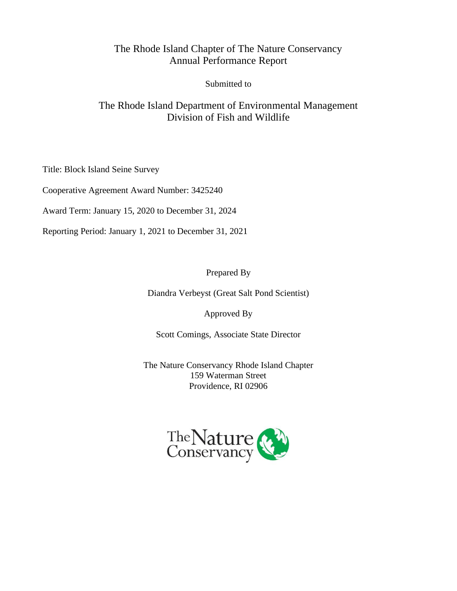### The Rhode Island Chapter of The Nature Conservancy Annual Performance Report

Submitted to

## The Rhode Island Department of Environmental Management Division of Fish and Wildlife

Title: Block Island Seine Survey

Cooperative Agreement Award Number: 3425240

Award Term: January 15, 2020 to December 31, 2024

Reporting Period: January 1, 2021 to December 31, 2021

Prepared By

Diandra Verbeyst (Great Salt Pond Scientist)

Approved By

Scott Comings, Associate State Director

The Nature Conservancy Rhode Island Chapter 159 Waterman Street Providence, RI 02906

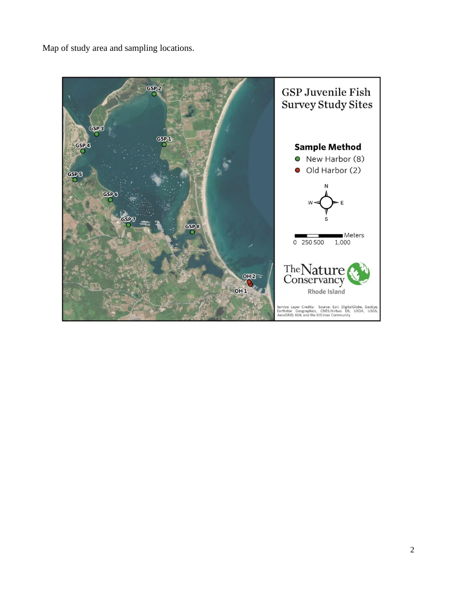Map of study area and sampling locations.

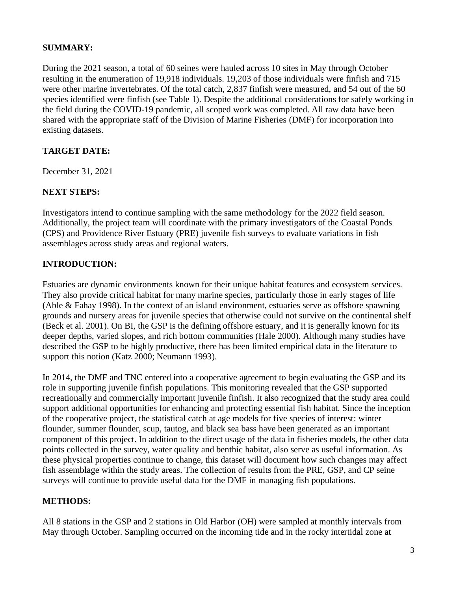### **SUMMARY:**

During the 2021 season, a total of 60 seines were hauled across 10 sites in May through October resulting in the enumeration of 19,918 individuals. 19,203 of those individuals were finfish and 715 were other marine invertebrates. Of the total catch, 2,837 finfish were measured, and 54 out of the 60 species identified were finfish (see Table 1). Despite the additional considerations for safely working in the field during the COVID-19 pandemic, all scoped work was completed. All raw data have been shared with the appropriate staff of the Division of Marine Fisheries (DMF) for incorporation into existing datasets.

### **TARGET DATE:**

December 31, 2021

### **NEXT STEPS:**

Investigators intend to continue sampling with the same methodology for the 2022 field season. Additionally, the project team will coordinate with the primary investigators of the Coastal Ponds (CPS) and Providence River Estuary (PRE) juvenile fish surveys to evaluate variations in fish assemblages across study areas and regional waters.

### **INTRODUCTION:**

Estuaries are dynamic environments known for their unique habitat features and ecosystem services. They also provide critical habitat for many marine species, particularly those in early stages of life (Able & Fahay 1998). In the context of an island environment, estuaries serve as offshore spawning grounds and nursery areas for juvenile species that otherwise could not survive on the continental shelf (Beck et al. 2001). On BI, the GSP is the defining offshore estuary, and it is generally known for its deeper depths, varied slopes, and rich bottom communities (Hale 2000). Although many studies have described the GSP to be highly productive, there has been limited empirical data in the literature to support this notion (Katz 2000; Neumann 1993).

In 2014, the DMF and TNC entered into a cooperative agreement to begin evaluating the GSP and its role in supporting juvenile finfish populations. This monitoring revealed that the GSP supported recreationally and commercially important juvenile finfish. It also recognized that the study area could support additional opportunities for enhancing and protecting essential fish habitat. Since the inception of the cooperative project, the statistical catch at age models for five species of interest: winter flounder, summer flounder, scup, tautog, and black sea bass have been generated as an important component of this project. In addition to the direct usage of the data in fisheries models, the other data points collected in the survey, water quality and benthic habitat, also serve as useful information. As these physical properties continue to change, this dataset will document how such changes may affect fish assemblage within the study areas. The collection of results from the PRE, GSP, and CP seine surveys will continue to provide useful data for the DMF in managing fish populations.

### **METHODS:**

All 8 stations in the GSP and 2 stations in Old Harbor (OH) were sampled at monthly intervals from May through October. Sampling occurred on the incoming tide and in the rocky intertidal zone at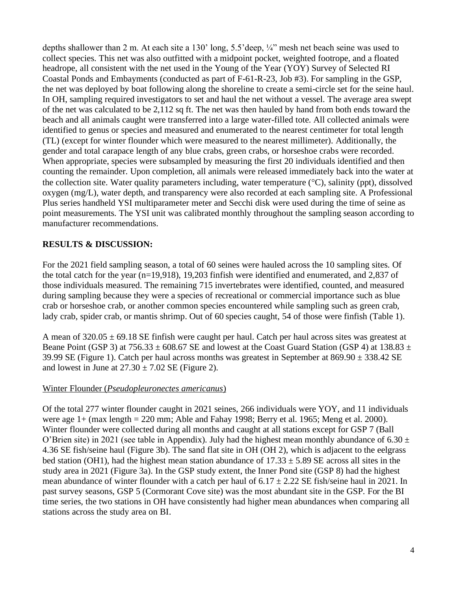depths shallower than 2 m. At each site a 130' long, 5.5' deep,  $\frac{1}{4}$ " mesh net beach seine was used to collect species. This net was also outfitted with a midpoint pocket, weighted footrope, and a floated headrope, all consistent with the net used in the Young of the Year (YOY) Survey of Selected RI Coastal Ponds and Embayments (conducted as part of F-61-R-23, Job #3). For sampling in the GSP, the net was deployed by boat following along the shoreline to create a semi-circle set for the seine haul. In OH, sampling required investigators to set and haul the net without a vessel. The average area swept of the net was calculated to be 2,112 sq ft. The net was then hauled by hand from both ends toward the beach and all animals caught were transferred into a large water-filled tote. All collected animals were identified to genus or species and measured and enumerated to the nearest centimeter for total length (TL) (except for winter flounder which were measured to the nearest millimeter). Additionally, the gender and total carapace length of any blue crabs, green crabs, or horseshoe crabs were recorded. When appropriate, species were subsampled by measuring the first 20 individuals identified and then counting the remainder. Upon completion, all animals were released immediately back into the water at the collection site. Water quality parameters including, water temperature  $({}^{\circ}C)$ , salinity (ppt), dissolved oxygen (mg/L), water depth, and transparency were also recorded at each sampling site. A Professional Plus series handheld YSI multiparameter meter and Secchi disk were used during the time of seine as point measurements. The YSI unit was calibrated monthly throughout the sampling season according to manufacturer recommendations.

#### **RESULTS & DISCUSSION:**

For the 2021 field sampling season, a total of 60 seines were hauled across the 10 sampling sites. Of the total catch for the year (n=19,918), 19,203 finfish were identified and enumerated, and 2,837 of those individuals measured. The remaining 715 invertebrates were identified, counted, and measured during sampling because they were a species of recreational or commercial importance such as blue crab or horseshoe crab, or another common species encountered while sampling such as green crab, lady crab, spider crab, or mantis shrimp. Out of 60 species caught, 54 of those were finfish (Table 1).

A mean of  $320.05 \pm 69.18$  SE finfish were caught per haul. Catch per haul across sites was greatest at Beane Point (GSP 3) at 756.33  $\pm$  608.67 SE and lowest at the Coast Guard Station (GSP 4) at 138.83  $\pm$ 39.99 SE (Figure 1). Catch per haul across months was greatest in September at  $869.90 \pm 338.42$  SE and lowest in June at  $27.30 \pm 7.02$  SE (Figure 2).

#### Winter Flounder (*Pseudopleuronectes americanus*)

Of the total 277 winter flounder caught in 2021 seines, 266 individuals were YOY, and 11 individuals were age  $1+$  (max length  $= 220$  mm; Able and Fahay 1998; Berry et al. 1965; Meng et al. 2000). Winter flounder were collected during all months and caught at all stations except for GSP 7 (Ball O'Brien site) in 2021 (see table in Appendix). July had the highest mean monthly abundance of 6.30  $\pm$ 4.36 SE fish/seine haul (Figure 3b). The sand flat site in OH (OH 2), which is adjacent to the eelgrass bed station (OH1), had the highest mean station abundance of  $17.33 \pm 5.89$  SE across all sites in the study area in 2021 (Figure 3a). In the GSP study extent, the Inner Pond site (GSP 8) had the highest mean abundance of winter flounder with a catch per haul of  $6.17 \pm 2.22$  SE fish/seine haul in 2021. In past survey seasons, GSP 5 (Cormorant Cove site) was the most abundant site in the GSP. For the BI time series, the two stations in OH have consistently had higher mean abundances when comparing all stations across the study area on BI.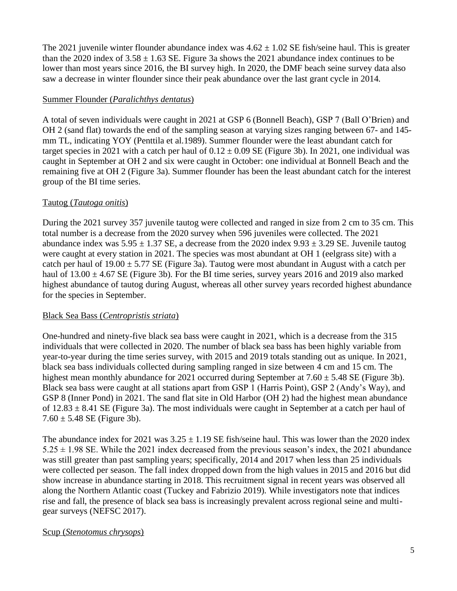The 2021 juvenile winter flounder abundance index was  $4.62 \pm 1.02$  SE fish/seine haul. This is greater than the 2020 index of  $3.58 \pm 1.63$  SE. Figure 3a shows the 2021 abundance index continues to be lower than most years since 2016, the BI survey high. In 2020, the DMF beach seine survey data also saw a decrease in winter flounder since their peak abundance over the last grant cycle in 2014.

#### Summer Flounder (*Paralichthys dentatus*)

A total of seven individuals were caught in 2021 at GSP 6 (Bonnell Beach), GSP 7 (Ball O'Brien) and OH 2 (sand flat) towards the end of the sampling season at varying sizes ranging between 67- and 145 mm TL, indicating YOY (Penttila et al.1989). Summer flounder were the least abundant catch for target species in 2021 with a catch per haul of  $0.12 \pm 0.09$  SE (Figure 3b). In 2021, one individual was caught in September at OH 2 and six were caught in October: one individual at Bonnell Beach and the remaining five at OH 2 (Figure 3a). Summer flounder has been the least abundant catch for the interest group of the BI time series.

#### Tautog (*Tautoga onitis*)

During the 2021 survey 357 juvenile tautog were collected and ranged in size from 2 cm to 35 cm. This total number is a decrease from the 2020 survey when 596 juveniles were collected. The 2021 abundance index was  $5.95 \pm 1.37$  SE, a decrease from the 2020 index  $9.93 \pm 3.29$  SE. Juvenile tautog were caught at every station in 2021. The species was most abundant at OH 1 (eelgrass site) with a catch per haul of  $19.00 \pm 5.77$  SE (Figure 3a). Tautog were most abundant in August with a catch per haul of  $13.00 \pm 4.67$  SE (Figure 3b). For the BI time series, survey years 2016 and 2019 also marked highest abundance of tautog during August, whereas all other survey years recorded highest abundance for the species in September.

#### Black Sea Bass (*Centropristis striata*)

One-hundred and ninety-five black sea bass were caught in 2021, which is a decrease from the 315 individuals that were collected in 2020. The number of black sea bass has been highly variable from year-to-year during the time series survey, with 2015 and 2019 totals standing out as unique. In 2021, black sea bass individuals collected during sampling ranged in size between 4 cm and 15 cm. The highest mean monthly abundance for 2021 occurred during September at  $7.60 \pm 5.48$  SE (Figure 3b). Black sea bass were caught at all stations apart from GSP 1 (Harris Point), GSP 2 (Andy's Way), and GSP 8 (Inner Pond) in 2021. The sand flat site in Old Harbor (OH 2) had the highest mean abundance of  $12.83 \pm 8.41$  SE (Figure 3a). The most individuals were caught in September at a catch per haul of  $7.60 \pm 5.48$  SE (Figure 3b).

The abundance index for 2021 was  $3.25 \pm 1.19$  SE fish/seine haul. This was lower than the 2020 index  $5.25 \pm 1.98$  SE. While the 2021 index decreased from the previous season's index, the 2021 abundance was still greater than past sampling years; specifically, 2014 and 2017 when less than 25 individuals were collected per season. The fall index dropped down from the high values in 2015 and 2016 but did show increase in abundance starting in 2018. This recruitment signal in recent years was observed all along the Northern Atlantic coast (Tuckey and Fabrizio 2019). While investigators note that indices rise and fall, the presence of black sea bass is increasingly prevalent across regional seine and multigear surveys (NEFSC 2017).

#### Scup (*Stenotomus chrysops*)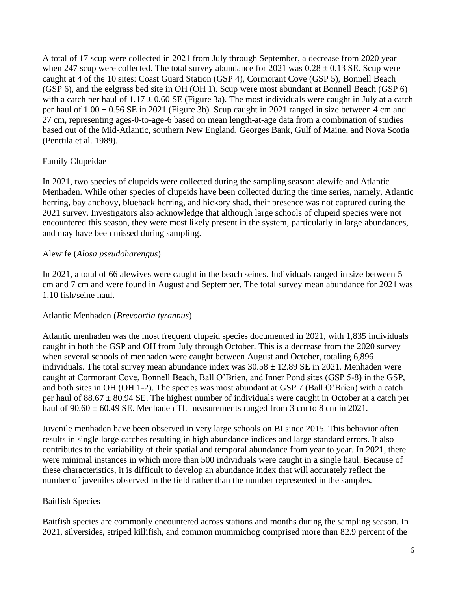A total of 17 scup were collected in 2021 from July through September, a decrease from 2020 year when 247 scup were collected. The total survey abundance for  $2021$  was  $0.28 \pm 0.13$  SE. Scup were caught at 4 of the 10 sites: Coast Guard Station (GSP 4), Cormorant Cove (GSP 5), Bonnell Beach (GSP 6), and the eelgrass bed site in OH (OH 1). Scup were most abundant at Bonnell Beach (GSP 6) with a catch per haul of  $1.17 \pm 0.60$  SE (Figure 3a). The most individuals were caught in July at a catch per haul of  $1.00 \pm 0.56$  SE in 2021 (Figure 3b). Scup caught in 2021 ranged in size between 4 cm and 27 cm, representing ages-0-to-age-6 based on mean length-at-age data from a combination of studies based out of the Mid-Atlantic, southern New England, Georges Bank, Gulf of Maine, and Nova Scotia (Penttila et al. 1989).

#### Family Clupeidae

In 2021, two species of clupeids were collected during the sampling season: alewife and Atlantic Menhaden. While other species of clupeids have been collected during the time series, namely, Atlantic herring, bay anchovy, blueback herring, and hickory shad, their presence was not captured during the 2021 survey. Investigators also acknowledge that although large schools of clupeid species were not encountered this season, they were most likely present in the system, particularly in large abundances, and may have been missed during sampling.

#### Alewife (*Alosa pseudoharengus*)

In 2021, a total of 66 alewives were caught in the beach seines. Individuals ranged in size between 5 cm and 7 cm and were found in August and September. The total survey mean abundance for 2021 was 1.10 fish/seine haul.

#### Atlantic Menhaden (*Brevoortia tyrannus*)

Atlantic menhaden was the most frequent clupeid species documented in 2021, with 1,835 individuals caught in both the GSP and OH from July through October. This is a decrease from the 2020 survey when several schools of menhaden were caught between August and October, totaling 6,896 individuals. The total survey mean abundance index was  $30.58 \pm 12.89$  SE in 2021. Menhaden were caught at Cormorant Cove, Bonnell Beach, Ball O'Brien, and Inner Pond sites (GSP 5-8) in the GSP, and both sites in OH (OH 1-2). The species was most abundant at GSP 7 (Ball O'Brien) with a catch per haul of  $88.67 \pm 80.94$  SE. The highest number of individuals were caught in October at a catch per haul of  $90.60 \pm 60.49$  SE. Menhaden TL measurements ranged from 3 cm to 8 cm in 2021.

Juvenile menhaden have been observed in very large schools on BI since 2015. This behavior often results in single large catches resulting in high abundance indices and large standard errors. It also contributes to the variability of their spatial and temporal abundance from year to year. In 2021, there were minimal instances in which more than 500 individuals were caught in a single haul. Because of these characteristics, it is difficult to develop an abundance index that will accurately reflect the number of juveniles observed in the field rather than the number represented in the samples.

#### Baitfish Species

Baitfish species are commonly encountered across stations and months during the sampling season. In 2021, silversides, striped killifish, and common mummichog comprised more than 82.9 percent of the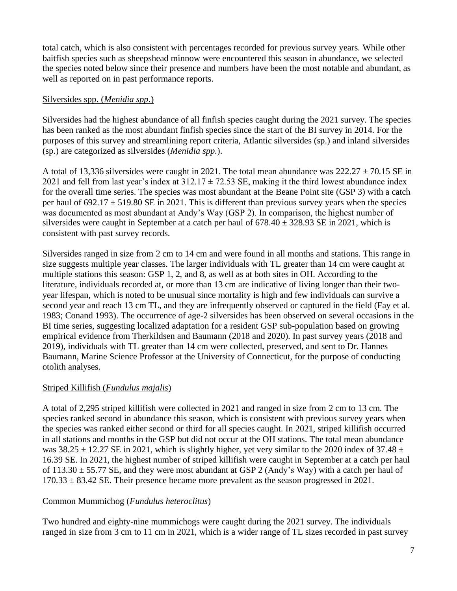total catch, which is also consistent with percentages recorded for previous survey years. While other baitfish species such as sheepshead minnow were encountered this season in abundance, we selected the species noted below since their presence and numbers have been the most notable and abundant, as well as reported on in past performance reports.

#### Silversides spp. (*Menidia spp*.)

Silversides had the highest abundance of all finfish species caught during the 2021 survey. The species has been ranked as the most abundant finfish species since the start of the BI survey in 2014. For the purposes of this survey and streamlining report criteria, Atlantic silversides (sp.) and inland silversides (sp.) are categorized as silversides (*Menidia spp.*).

A total of 13,336 silversides were caught in 2021. The total mean abundance was  $222.27 \pm 70.15$  SE in 2021 and fell from last year's index at  $312.17 \pm 72.53$  SE, making it the third lowest abundance index for the overall time series. The species was most abundant at the Beane Point site (GSP 3) with a catch per haul of  $692.17 \pm 519.80$  SE in 2021. This is different than previous survey years when the species was documented as most abundant at Andy's Way (GSP 2). In comparison, the highest number of silversides were caught in September at a catch per haul of  $678.40 \pm 328.93$  SE in 2021, which is consistent with past survey records.

Silversides ranged in size from 2 cm to 14 cm and were found in all months and stations. This range in size suggests multiple year classes. The larger individuals with TL greater than 14 cm were caught at multiple stations this season: GSP 1, 2, and 8, as well as at both sites in OH. According to the literature, individuals recorded at, or more than 13 cm are indicative of living longer than their twoyear lifespan, which is noted to be unusual since mortality is high and few individuals can survive a second year and reach 13 cm TL, and they are infrequently observed or captured in the field (Fay et al. 1983; Conand 1993). The occurrence of age-2 silversides has been observed on several occasions in the BI time series, suggesting localized adaptation for a resident GSP sub-population based on growing empirical evidence from Therkildsen and Baumann (2018 and 2020). In past survey years (2018 and 2019), individuals with TL greater than 14 cm were collected, preserved, and sent to Dr. Hannes Baumann, Marine Science Professor at the University of Connecticut, for the purpose of conducting otolith analyses.

#### Striped Killifish (*Fundulus majalis*)

A total of 2,295 striped killifish were collected in 2021 and ranged in size from 2 cm to 13 cm. The species ranked second in abundance this season, which is consistent with previous survey years when the species was ranked either second or third for all species caught. In 2021, striped killifish occurred in all stations and months in the GSP but did not occur at the OH stations. The total mean abundance was  $38.25 \pm 12.27$  SE in 2021, which is slightly higher, yet very similar to the 2020 index of 37.48  $\pm$ 16.39 SE. In 2021, the highest number of striped killifish were caught in September at a catch per haul of  $113.30 \pm 55.77$  SE, and they were most abundant at GSP 2 (Andy's Way) with a catch per haul of  $170.33 \pm 83.42$  SE. Their presence became more prevalent as the season progressed in 2021.

#### Common Mummichog (*Fundulus heteroclitus*)

Two hundred and eighty-nine mummichogs were caught during the 2021 survey. The individuals ranged in size from 3 cm to 11 cm in 2021, which is a wider range of TL sizes recorded in past survey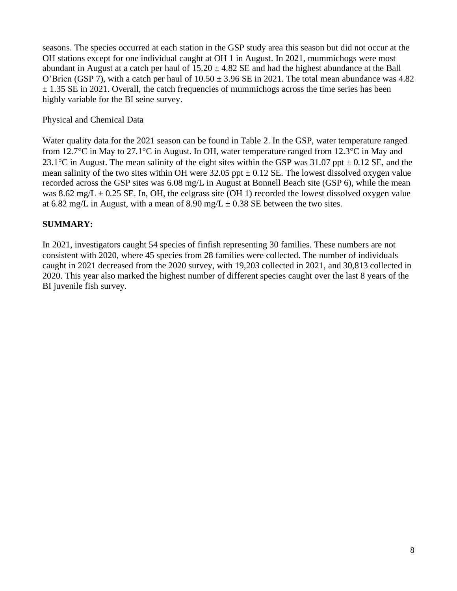seasons. The species occurred at each station in the GSP study area this season but did not occur at the OH stations except for one individual caught at OH 1 in August. In 2021, mummichogs were most abundant in August at a catch per haul of  $15.20 \pm 4.82$  SE and had the highest abundance at the Ball O'Brien (GSP 7), with a catch per haul of  $10.50 \pm 3.96$  SE in 2021. The total mean abundance was 4.82  $\pm$  1.35 SE in 2021. Overall, the catch frequencies of mummichogs across the time series has been highly variable for the BI seine survey.

#### Physical and Chemical Data

Water quality data for the 2021 season can be found in Table 2. In the GSP, water temperature ranged from 12.7 $\rm{°C}$  in May to 27.1 $\rm{°C}$  in August. In OH, water temperature ranged from 12.3 $\rm{°C}$  in May and 23.1<sup>o</sup>C in August. The mean salinity of the eight sites within the GSP was  $31.07$  ppt  $\pm$  0.12 SE, and the mean salinity of the two sites within OH were  $32.05$  ppt  $\pm 0.12$  SE. The lowest dissolved oxygen value recorded across the GSP sites was 6.08 mg/L in August at Bonnell Beach site (GSP 6), while the mean was 8.62 mg/L  $\pm$  0.25 SE. In, OH, the eelgrass site (OH 1) recorded the lowest dissolved oxygen value at 6.82 mg/L in August, with a mean of 8.90 mg/L  $\pm$  0.38 SE between the two sites.

### **SUMMARY:**

In 2021, investigators caught 54 species of finfish representing 30 families. These numbers are not consistent with 2020, where 45 species from 28 families were collected. The number of individuals caught in 2021 decreased from the 2020 survey, with 19,203 collected in 2021, and 30,813 collected in 2020. This year also marked the highest number of different species caught over the last 8 years of the BI juvenile fish survey.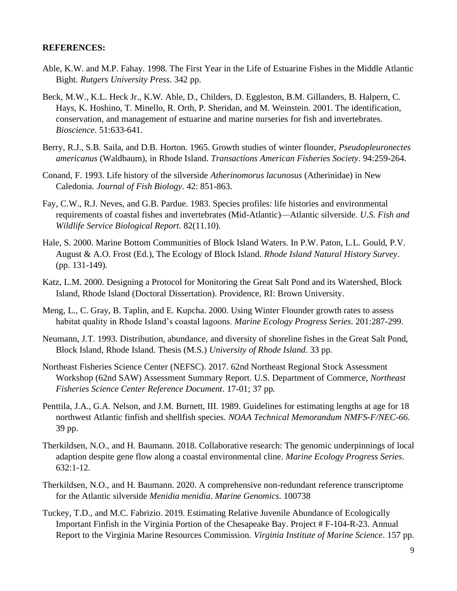#### **REFERENCES:**

- Able, K.W. and M.P. Fahay. 1998. The First Year in the Life of Estuarine Fishes in the Middle Atlantic Bight. *Rutgers University Press*. 342 pp.
- Beck, M.W., K.L. Heck Jr., K.W. Able, D., Childers, D. Eggleston, B.M. Gillanders, B. Halpern, C. Hays, K. Hoshino, T. Minello, R. Orth, P. Sheridan, and M. Weinstein. 2001. The identification, conservation, and management of estuarine and marine nurseries for fish and invertebrates. *Bioscience*. 51:633-641.
- Berry, R.J., S.B. Saila, and D.B. Horton. 1965. Growth studies of winter flounder, *Pseudopleuronectes americanus* (Waldbaum), in Rhode Island. *Transactions American Fisheries Society*. 94:259-264.
- Conand, F. 1993. Life history of the silverside *Atherinomorus lacunosus* (Atherinidae) in New Caledonia. *Journal of Fish Biology*. 42: 851-863.
- Fay, C.W., R.J. Neves, and G.B. Pardue. 1983. Species profiles: life histories and environmental requirements of coastal fishes and invertebrates (Mid-Atlantic)—Atlantic silverside. *U.S. Fish and Wildlife Service Biological Report.* 82(11.10).
- Hale, S. 2000. Marine Bottom Communities of Block Island Waters. In P.W. Paton, L.L. Gould, P.V. August & A.O. Frost (Ed.), The Ecology of Block Island. *Rhode Island Natural History Survey*. (pp. 131-149).
- Katz, L.M. 2000. Designing a Protocol for Monitoring the Great Salt Pond and its Watershed, Block Island, Rhode Island (Doctoral Dissertation). Providence, RI: Brown University.
- Meng, L., C. Gray, B. Taplin, and E. Kupcha. 2000. Using Winter Flounder growth rates to assess habitat quality in Rhode Island's coastal lagoons. *Marine Ecology Progress Series*. 201:287-299.
- Neumann, J.T. 1993. Distribution, abundance, and diversity of shoreline fishes in the Great Salt Pond, Block Island, Rhode Island. Thesis (M.S.) *University of Rhode Island*. 33 pp.
- Northeast Fisheries Science Center (NEFSC). 2017. 62nd Northeast Regional Stock Assessment Workshop (62nd SAW) Assessment Summary Report. U.S. Department of Commerce, *Northeast Fisheries Science Center Reference Document*. 17-01; 37 pp.
- Penttila, J.A., G.A. Nelson, and J.M. Burnett, III. 1989. Guidelines for estimating lengths at age for 18 northwest Atlantic finfish and shellfish species. *NOAA Technical Memorandum NMFS-F/NEC-66*. 39 pp.
- Therkildsen, N.O., and H. Baumann. 2018. Collaborative research: The genomic underpinnings of local adaption despite gene flow along a coastal environmental cline. *Marine Ecology Progress Series*. 632:1-12.
- Therkildsen, N.O., and H. Baumann. 2020. A comprehensive non-redundant reference transcriptome for the Atlantic silverside *Menidia menidia*. *Marine Genomics*. 100738
- Tuckey, T.D., and M.C. Fabrizio. 2019. Estimating Relative Juvenile Abundance of Ecologically Important Finfish in the Virginia Portion of the Chesapeake Bay. Project # F-104-R-23. Annual Report to the Virginia Marine Resources Commission. *Virginia Institute of Marine Science*. 157 pp.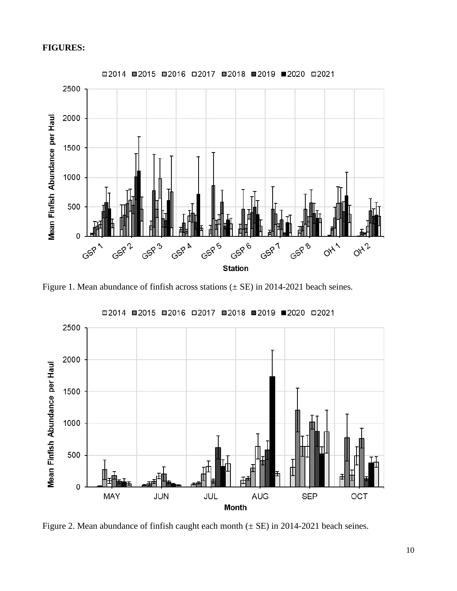#### **FIGURES:**



Figure 1. Mean abundance of finfish across stations  $(\pm \text{ SE})$  in 2014-2021 beach seines.



Figure 2. Mean abundance of finfish caught each month  $(\pm \text{ SE})$  in 2014-2021 beach seines.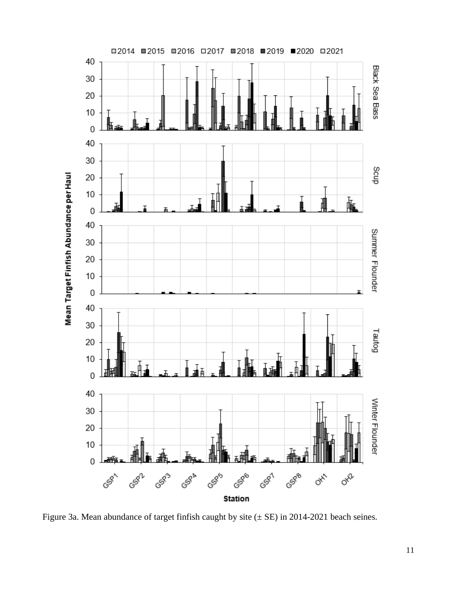

Figure 3a. Mean abundance of target finfish caught by site (± SE) in 2014-2021 beach seines.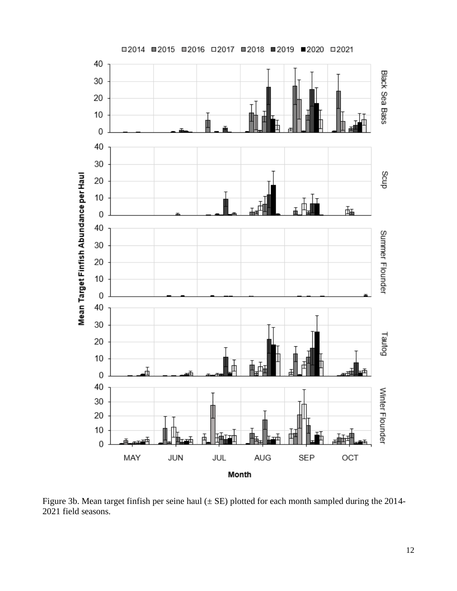![](_page_11_Figure_0.jpeg)

Figure 3b. Mean target finfish per seine haul  $(\pm SE)$  plotted for each month sampled during the 2014-field seasons.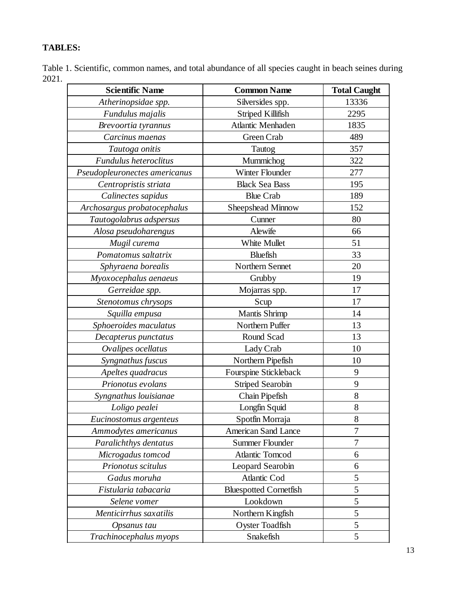## **TABLES:**

Table 1. Scientific, common names, and total abundance of all species caught in beach seines during 2021.

| <b>Scientific Name</b>        | <b>Common Name</b>            | <b>Total Caught</b> |
|-------------------------------|-------------------------------|---------------------|
| Atherinopsidae spp.           | Silversides spp.              | 13336               |
| Fundulus majalis              | Striped Killifish             | 2295                |
| Brevoortia tyrannus           | Atlantic Menhaden             | 1835                |
| Carcinus maenas               | Green Crab                    | 489                 |
| Tautoga onitis                | Tautog                        | 357                 |
| Fundulus heteroclitus         | Mummichog                     | 322                 |
| Pseudopleuronectes americanus | Winter Flounder               | 277                 |
| Centropristis striata         | <b>Black Sea Bass</b>         | 195                 |
| Calinectes sapidus            | <b>Blue Crab</b>              | 189                 |
| Archosargus probatocephalus   | Sheepshead Minnow             | 152                 |
| Tautogolabrus adspersus       | Cunner                        | 80                  |
| Alosa pseudoharengus          | Alewife                       | 66                  |
| Mugil curema                  | White Mullet                  | 51                  |
| Pomatomus saltatrix           | <b>Bluefish</b>               | 33                  |
| Sphyraena borealis            | Northern Sennet               | 20                  |
| Myoxocephalus aenaeus         | Grubby                        | 19                  |
| Gerreidae spp.                | Mojarras spp.                 | 17                  |
| Stenotomus chrysops           | Scup                          | 17                  |
| Squilla empusa                | <b>Mantis Shrimp</b>          | 14                  |
| Sphoeroides maculatus         | Northern Puffer               | 13                  |
| Decapterus punctatus          | Round Scad                    | 13                  |
| Ovalipes ocellatus            | Lady Crab                     | 10                  |
| Syngnathus fuscus             | Northern Pipefish             | 10                  |
| Apeltes quadracus             | Fourspine Stickleback         | 9                   |
| Prionotus evolans             | <b>Striped Searobin</b>       | 9                   |
| Syngnathus louisianae         | Chain Pipefish                | 8                   |
| Loligo pealei                 | Longfin Squid                 | 8                   |
| Eucinostomus argenteus        | Spotfin Morraja               | 8                   |
| Ammodytes americanus          | <b>American Sand Lance</b>    | 7                   |
| Paralichthys dentatus         | Summer Flounder               | 7                   |
| Microgadus tomcod             | Atlantic Tomcod               | 6                   |
| Prionotus scitulus            | Leopard Searobin              | 6                   |
| Gadus moruha                  | <b>Atlantic Cod</b>           | 5                   |
| Fistularia tabacaria          | <b>Bluespotted Cornetfish</b> | 5                   |
| Selene vomer                  | Lookdown                      | 5                   |
| Menticirrhus saxatilis        | Northern Kingfish             | 5                   |
| Opsanus tau                   | <b>Oyster Toadfish</b>        | 5                   |
| Trachinocephalus myops        | Snakefish                     | 5                   |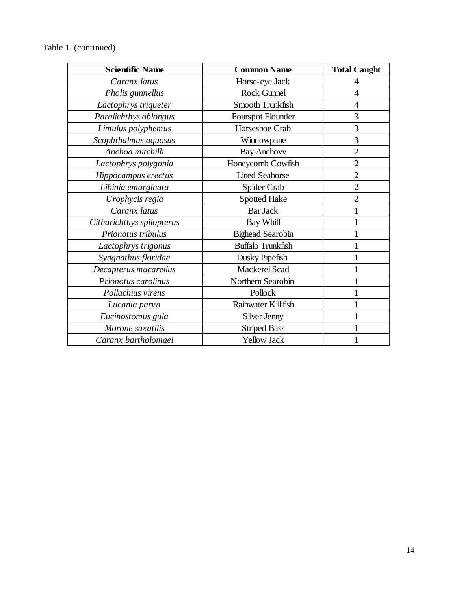| <b>Scientific Name</b>    | <b>Common Name</b>       | <b>Total Caught</b> |
|---------------------------|--------------------------|---------------------|
| Caranx latus              | Horse-eye Jack           | 4                   |
| Pholis gunnellus          | Rock Gunnel              | $\overline{4}$      |
| Lactophrys triqueter      | Smooth Trunkfish         | $\overline{4}$      |
| Paralichthys oblongus     | <b>Fourspot Flounder</b> | 3                   |
| Limulus polyphemus        | Horseshoe Crab           | 3                   |
| Scophthalmus aquosus      | Windowpane               | 3                   |
| Anchoa mitchilli          | <b>Bay Anchovy</b>       | $\overline{2}$      |
| Lactophrys polygonia      | Honeycomb Cowfish        | $\overline{2}$      |
| Hippocampus erectus       | <b>Lined Seahorse</b>    | $\overline{2}$      |
| Libinia emarginata        | Spider Crab              | $\overline{2}$      |
| Urophycis regia           | <b>Spotted Hake</b>      | $\overline{2}$      |
| Caranx latus              | <b>Bar Jack</b>          |                     |
| Citharichthys spilopterus | Bay Whiff                |                     |
| Prionotus tribulus        | <b>Bighead Searobin</b>  |                     |
| Lactophrys trigonus       | <b>Buffalo Trunkfish</b> |                     |
| Syngnathus floridae       | Dusky Pipefish           |                     |
| Decapterus macarellus     | Mackerel Scad            |                     |
| Prionotus carolinus       | Northern Searobin        |                     |
| Pollachius virens         | Pollock                  |                     |
| Lucania parva             | Rainwater Killifish      |                     |
| Eucinostomus gula         | Silver Jenny             |                     |
| Morone saxatilis          | <b>Striped Bass</b>      |                     |
| Caranx bartholomaei       | <b>Yellow Jack</b>       | 1                   |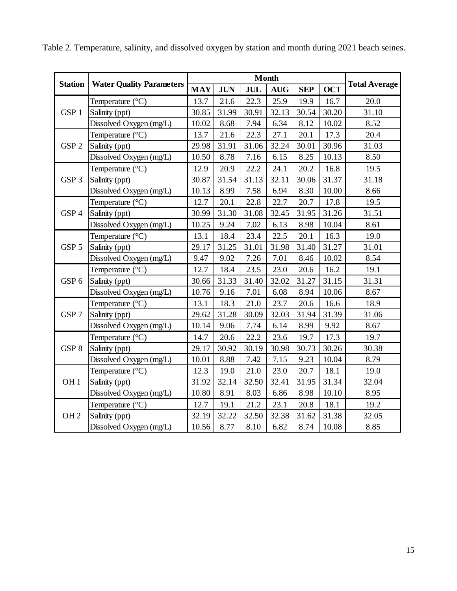|                  |                                 |            |            |            | <b>Month</b> |            |            |                      |
|------------------|---------------------------------|------------|------------|------------|--------------|------------|------------|----------------------|
| <b>Station</b>   | <b>Water Quality Parameters</b> | <b>MAY</b> | <b>JUN</b> | <b>JUL</b> | <b>AUG</b>   | <b>SEP</b> | <b>OCT</b> | <b>Total Average</b> |
|                  | Temperature $(^{\circ}C)$       | 13.7       | 21.6       | 22.3       | 25.9         | 19.9       | 16.7       | 20.0                 |
| GSP <sub>1</sub> | Salinity (ppt)                  | 30.85      | 31.99      | 30.91      | 32.13        | 30.54      | 30.20      | 31.10                |
|                  | Dissolved Oxygen (mg/L)         | 10.02      | 8.68       | 7.94       | 6.34         | 8.12       | 10.02      | 8.52                 |
|                  | Temperature $(^{\circ}C)$       | 13.7       | 21.6       | 22.3       | 27.1         | 20.1       | 17.3       | 20.4                 |
| GSP <sub>2</sub> | Salinity (ppt)                  | 29.98      | 31.91      | 31.06      | 32.24        | 30.01      | 30.96      | 31.03                |
|                  | Dissolved Oxygen (mg/L)         | 10.50      | 8.78       | 7.16       | 6.15         | 8.25       | 10.13      | 8.50                 |
|                  | Temperature $(^{\circ}C)$       | 12.9       | 20.9       | 22.2       | 24.1         | 20.2       | 16.8       | 19.5                 |
| GSP <sub>3</sub> | Salinity (ppt)                  | 30.87      | 31.54      | 31.13      | 32.11        | 30.06      | 31.37      | 31.18                |
|                  | Dissolved Oxygen (mg/L)         | 10.13      | 8.99       | 7.58       | 6.94         | 8.30       | 10.00      | 8.66                 |
|                  | Temperature (°C)                | 12.7       | 20.1       | 22.8       | 22.7         | 20.7       | 17.8       | 19.5                 |
| GSP <sub>4</sub> | Salinity (ppt)                  | 30.99      | 31.30      | 31.08      | 32.45        | 31.95      | 31.26      | 31.51                |
|                  | Dissolved Oxygen (mg/L)         | 10.25      | 9.24       | 7.02       | 6.13         | 8.98       | 10.04      | 8.61                 |
|                  | Temperature $(^{\circ}C)$       | 13.1       | 18.4       | 23.4       | 22.5         | 20.1       | 16.3       | 19.0                 |
| GSP <sub>5</sub> | Salinity (ppt)                  | 29.17      | 31.25      | 31.01      | 31.98        | 31.40      | 31.27      | 31.01                |
|                  | Dissolved Oxygen (mg/L)         | 9.47       | 9.02       | 7.26       | 7.01         | 8.46       | 10.02      | 8.54                 |
|                  | Temperature (°C)                | 12.7       | 18.4       | 23.5       | 23.0         | 20.6       | 16.2       | 19.1                 |
| GSP <sub>6</sub> | Salinity (ppt)                  | 30.66      | 31.33      | 31.40      | 32.02        | 31.27      | 31.15      | 31.31                |
|                  | Dissolved Oxygen (mg/L)         | 10.76      | 9.16       | 7.01       | 6.08         | 8.94       | 10.06      | 8.67                 |
|                  | Temperature (°C)                | 13.1       | 18.3       | 21.0       | 23.7         | 20.6       | 16.6       | 18.9                 |
| GSP <sub>7</sub> | Salinity (ppt)                  | 29.62      | 31.28      | 30.09      | 32.03        | 31.94      | 31.39      | 31.06                |
|                  | Dissolved Oxygen (mg/L)         | 10.14      | 9.06       | 7.74       | 6.14         | 8.99       | 9.92       | 8.67                 |
|                  | Temperature (°C)                | 14.7       | 20.6       | 22.2       | 23.6         | 19.7       | 17.3       | 19.7                 |
| GSP <sub>8</sub> | Salinity (ppt)                  | 29.17      | 30.92      | 30.19      | 30.98        | 30.73      | 30.26      | 30.38                |
|                  | Dissolved Oxygen (mg/L)         | 10.01      | 8.88       | 7.42       | 7.15         | 9.23       | 10.04      | 8.79                 |
|                  | Temperature $(^{\circ}C)$       | 12.3       | 19.0       | 21.0       | 23.0         | 20.7       | 18.1       | 19.0                 |
| OH <sub>1</sub>  | Salinity (ppt)                  | 31.92      | 32.14      | 32.50      | 32.41        | 31.95      | 31.34      | 32.04                |
|                  | Dissolved Oxygen (mg/L)         | 10.80      | 8.91       | 8.03       | 6.86         | 8.98       | $10.10\,$  | 8.95                 |
|                  | Temperature $(^{\circ}C)$       | 12.7       | 19.1       | 21.2       | 23.1         | 20.8       | 18.1       | 19.2                 |
| OH <sub>2</sub>  | Salinity (ppt)                  | 32.19      | 32.22      | 32.50      | 32.38        | 31.62      | 31.38      | 32.05                |
|                  | Dissolved Oxygen (mg/L)         | 10.56      | 8.77       | 8.10       | 6.82         | 8.74       | 10.08      | 8.85                 |

Table 2. Temperature, salinity, and dissolved oxygen by station and month during 2021 beach seines.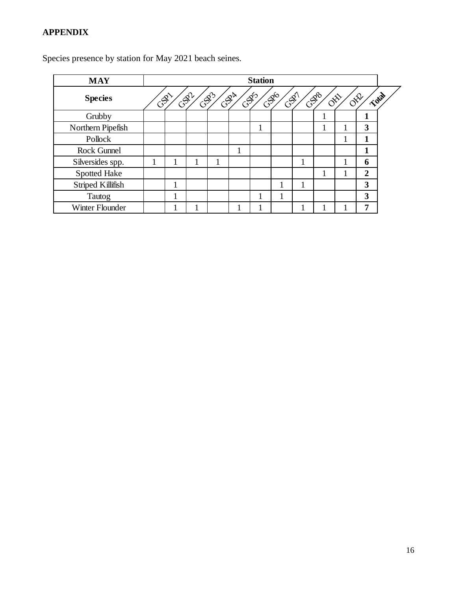| <b>MAY</b>          |     |     |     |                                | <b>Station</b> |                 |                                |                               |  |
|---------------------|-----|-----|-----|--------------------------------|----------------|-----------------|--------------------------------|-------------------------------|--|
| <b>Species</b>      | CAL | GSP | CB3 | $G^{\mathcal{S}^{\mathbb{A}}}$ | GB5            | GBG<br>$C^{S'}$ | CBB<br>$\delta^{\hat{\aleph}}$ | Total<br>$\delta^{\text{NP}}$ |  |
| Grubby              |     |     |     |                                |                |                 |                                |                               |  |
| Northern Pipefish   |     |     |     |                                | 1              |                 |                                | 3                             |  |
| Pollock             |     |     |     |                                |                |                 |                                |                               |  |
| <b>Rock Gunnel</b>  |     |     |     | и                              |                |                 |                                |                               |  |
| Silversides spp.    | 1   |     |     |                                |                |                 |                                | 6                             |  |
| <b>Spotted Hake</b> |     |     |     |                                |                |                 |                                | $\mathbf{2}$                  |  |
| Striped Killifish   | 1   |     |     |                                |                |                 |                                | 3                             |  |
| Tautog              |     |     |     |                                |                |                 |                                | 3                             |  |
| Winter Flounder     |     |     |     |                                |                |                 |                                | .,                            |  |

Species presence by station for May 2021 beach seines.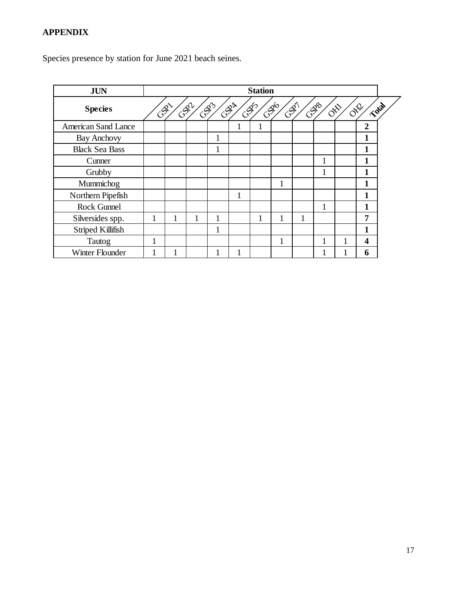Species presence by station for June 2021 beach seines.

| <b>JUN</b>                 |     | <b>Station</b> |     |             |           |      |                 |   |     |                                                 |                |       |
|----------------------------|-----|----------------|-----|-------------|-----------|------|-----------------|---|-----|-------------------------------------------------|----------------|-------|
| <b>Species</b>             | CAL |                | GSP | $C_{2}^{S}$ | $G^{S^k}$ | CSDS | GRG<br>$G^{S'}$ |   | GSP | $\delta^{\hat{\aleph}}$<br>$\delta^{\text{sp}}$ |                | Total |
| <b>American Sand Lance</b> |     |                |     |             |           |      |                 |   |     |                                                 | $\overline{2}$ |       |
| <b>Bay Anchovy</b>         |     |                |     |             |           |      |                 |   |     |                                                 | 1              |       |
| <b>Black Sea Bass</b>      |     |                |     |             |           |      |                 |   |     |                                                 |                |       |
| Cunner                     |     |                |     |             |           |      |                 |   |     |                                                 |                |       |
| Grubby                     |     |                |     |             |           |      |                 |   | 1   |                                                 | 1              |       |
| Mummichog                  |     |                |     |             |           |      | 1               |   |     |                                                 |                |       |
| Northern Pipefish          |     |                |     |             |           |      |                 |   |     |                                                 | 1              |       |
| Rock Gunnel                |     |                |     |             |           |      |                 |   |     |                                                 | 1              |       |
| Silversides spp.           | 1   | -1             |     |             |           | 1    |                 | 1 |     |                                                 | 7              |       |
| Striped Killifish          |     |                |     |             |           |      |                 |   |     |                                                 | 1              |       |
| Tautog                     | 1   |                |     |             |           |      | 1               |   |     |                                                 | 4              |       |
| Winter Flounder            |     |                |     |             |           |      |                 |   |     |                                                 | 6              |       |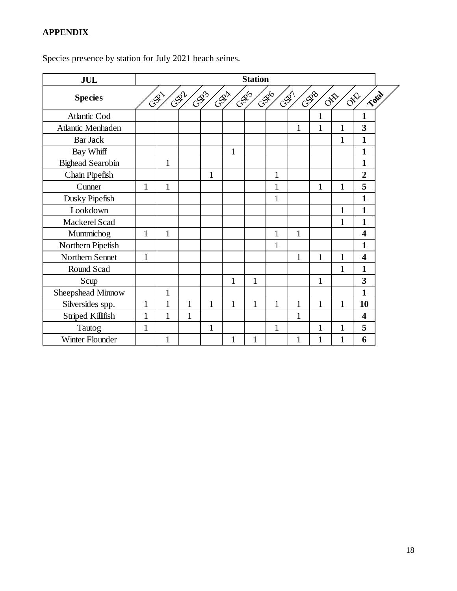| <b>JUL</b>              | <b>Station</b> |              |              |              |              |              |                     |              |                                |              |                         |       |  |
|-------------------------|----------------|--------------|--------------|--------------|--------------|--------------|---------------------|--------------|--------------------------------|--------------|-------------------------|-------|--|
| <b>Species</b>          |                | CAL          | GSP          | 6933         | $C^{S^k}$    | CASS         | CSDG<br><b>COLL</b> |              | GSB1<br>$\text{O}^{\text{th}}$ |              | OPR                     | Total |  |
| <b>Atlantic Cod</b>     |                |              |              |              |              |              |                     |              | 1                              |              | $\mathbf{1}$            |       |  |
| Atlantic Menhaden       |                |              |              |              |              |              |                     | 1            | $\mathbf{1}$                   | 1            | 3                       |       |  |
| <b>Bar Jack</b>         |                |              |              |              |              |              |                     |              |                                | $\mathbf{1}$ | $\mathbf{1}$            |       |  |
| Bay Whiff               |                |              |              |              | $\mathbf{1}$ |              |                     |              |                                |              | $\mathbf{1}$            |       |  |
| <b>Bighead Searobin</b> |                | 1            |              |              |              |              |                     |              |                                |              | 1                       |       |  |
| Chain Pipefish          |                |              |              | 1            |              |              | 1                   |              |                                |              | $\overline{2}$          |       |  |
| Cunner                  | 1              | 1            |              |              |              |              | 1                   |              | $\mathbf{1}$                   | 1            | 5                       |       |  |
| Dusky Pipefish          |                |              |              |              |              |              | 1                   |              |                                |              | 1                       |       |  |
| Lookdown                |                |              |              |              |              |              |                     |              |                                | 1            | 1                       |       |  |
| Mackerel Scad           |                |              |              |              |              |              |                     |              |                                | $\mathbf{1}$ | 1                       |       |  |
| Mummichog               | $\mathbf{1}$   | $\mathbf{1}$ |              |              |              |              | $\mathbf{1}$        | $\mathbf{1}$ |                                |              | $\overline{\mathbf{4}}$ |       |  |
| Northern Pipefish       |                |              |              |              |              |              | 1                   |              |                                |              | 1                       |       |  |
| Northern Sennet         | $\mathbf{1}$   |              |              |              |              |              |                     | 1            | $\mathbf{1}$                   | $\mathbf{1}$ | 4                       |       |  |
| Round Scad              |                |              |              |              |              |              |                     |              |                                | 1            | 1                       |       |  |
| Scup                    |                |              |              |              | 1            | $\mathbf{1}$ |                     |              | $\mathbf{1}$                   |              | 3                       |       |  |
| Sheepshead Minnow       |                | 1            |              |              |              |              |                     |              |                                |              | $\mathbf{1}$            |       |  |
| Silversides spp.        | 1              | 1            | $\mathbf{1}$ | $\mathbf{1}$ | $\mathbf{1}$ | $\mathbf{1}$ | 1                   | 1            | $\mathbf{1}$                   | $\mathbf{1}$ | 10                      |       |  |
| Striped Killifish       | $\mathbf{1}$   | $\mathbf{1}$ | $\mathbf{1}$ |              |              |              |                     | 1            |                                |              | $\boldsymbol{4}$        |       |  |
| Tautog                  | 1              |              |              | $\mathbf{1}$ |              |              | $\mathbf{1}$        |              | 1                              | 1            | 5                       |       |  |
| Winter Flounder         |                | $\mathbf{1}$ |              |              | 1            | 1            |                     | $\mathbf{1}$ | $\mathbf{1}$                   | $\mathbf{1}$ | 6                       |       |  |

Species presence by station for July 2021 beach seines.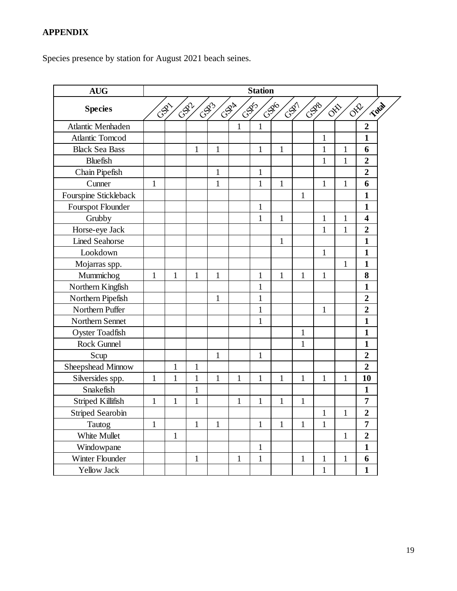Species presence by station for August 2021 beach seines.

| <b>AUG</b>              |              |              |              |              |                                            | <b>Station</b> |                 |              |              |                           |                         |
|-------------------------|--------------|--------------|--------------|--------------|--------------------------------------------|----------------|-----------------|--------------|--------------|---------------------------|-------------------------|
| <b>Species</b>          |              |              | GSZ          | CSB3         | $C_{\mathbb{S}}^{\mathbb{S}^{\mathbb{N}}}$ | CSD5           | C.S. 10<br>CSST |              | CSDB         | $\sigma^{\!\mathfrak{P}}$ | Total<br>OFF            |
| Atlantic Menhaden       |              |              |              |              | 1                                          | $\mathbf{1}$   |                 |              |              |                           | $\overline{2}$          |
| <b>Atlantic Tomcod</b>  |              |              |              |              |                                            |                |                 |              | $\mathbf{1}$ |                           | $\mathbf{1}$            |
| <b>Black Sea Bass</b>   |              |              | $\mathbf{1}$ | $\mathbf{1}$ |                                            | $\mathbf{1}$   | $\mathbf{1}$    |              | $\mathbf{1}$ | $\mathbf{1}$              | 6                       |
| <b>Bluefish</b>         |              |              |              |              |                                            |                |                 |              | $\mathbf{1}$ | $\mathbf{1}$              | $\overline{2}$          |
| Chain Pipefish          |              |              |              | 1            |                                            | $\mathbf{1}$   |                 |              |              |                           | $\boldsymbol{2}$        |
| Cunner                  | $\mathbf{1}$ |              |              | $\mathbf{1}$ |                                            | $\mathbf{1}$   | $\mathbf{1}$    |              | $\mathbf{1}$ | $\mathbf{1}$              | 6                       |
| Fourspine Stickleback   |              |              |              |              |                                            |                |                 | 1            |              |                           | $\mathbf{1}$            |
| Fourspot Flounder       |              |              |              |              |                                            | $\mathbf{1}$   |                 |              |              |                           | $\mathbf{1}$            |
| Grubby                  |              |              |              |              |                                            | $\mathbf{1}$   | 1               |              | $\mathbf{1}$ | $\mathbf{1}$              | $\overline{\mathbf{4}}$ |
| Horse-eye Jack          |              |              |              |              |                                            |                |                 |              | $\mathbf{1}$ | $\mathbf{1}$              | $\overline{2}$          |
| <b>Lined Seahorse</b>   |              |              |              |              |                                            |                | $\mathbf{1}$    |              |              |                           | $\mathbf{1}$            |
| Lookdown                |              |              |              |              |                                            |                |                 |              | $\mathbf{1}$ |                           | $\mathbf{1}$            |
| Mojarras spp.           |              |              |              |              |                                            |                |                 |              |              | $\mathbf{1}$              | $\mathbf{1}$            |
| Mummichog               | $\mathbf{1}$ | $\mathbf{1}$ | $\mathbf{1}$ | $\mathbf{1}$ |                                            | 1              | $\mathbf{1}$    | 1            | $\mathbf{1}$ |                           | 8                       |
| Northern Kingfish       |              |              |              |              |                                            | 1              |                 |              |              |                           | $\mathbf{1}$            |
| Northern Pipefish       |              |              |              | 1            |                                            | $\mathbf{1}$   |                 |              |              |                           | $\boldsymbol{2}$        |
| Northern Puffer         |              |              |              |              |                                            | 1              |                 |              | $\mathbf{1}$ |                           | $\overline{2}$          |
| Northern Sennet         |              |              |              |              |                                            | 1              |                 |              |              |                           | $\mathbf{1}$            |
| <b>Oyster Toadfish</b>  |              |              |              |              |                                            |                |                 | $\mathbf{1}$ |              |                           | $\mathbf{1}$            |
| Rock Gunnel             |              |              |              |              |                                            |                |                 | $\mathbf{1}$ |              |                           | $\mathbf{1}$            |
| Scup                    |              |              |              | $\mathbf{1}$ |                                            | $\mathbf{1}$   |                 |              |              |                           | $\overline{2}$          |
| Sheepshead Minnow       |              | $\mathbf{1}$ | $\mathbf{1}$ |              |                                            |                |                 |              |              |                           | $\overline{2}$          |
| Silversides spp.        | $\mathbf{1}$ | $\mathbf{1}$ | $\mathbf{1}$ | $\mathbf{1}$ | $\mathbf{1}$                               | $\mathbf{1}$   | $\mathbf{1}$    | $\mathbf{1}$ | $\mathbf{1}$ | $\mathbf{1}$              | 10                      |
| Snakefish               |              |              | $\mathbf{1}$ |              |                                            |                |                 |              |              |                           | $\mathbf{1}$            |
| Striped Killifish       | $\mathbf{1}$ | $\mathbf{1}$ | $\mathbf{1}$ |              | $\mathbf{1}$                               | 1              | 1               | $\mathbf{1}$ |              |                           | 7                       |
| <b>Striped Searobin</b> |              |              |              |              |                                            |                |                 |              | $\mathbf{1}$ | 1                         | $\overline{2}$          |
| Tautog                  | $\mathbf{1}$ |              | $\mathbf{1}$ | $\mathbf{1}$ |                                            | $\mathbf{1}$   | $\mathbf{1}$    | $\mathbf{1}$ | $\mathbf{1}$ |                           | 7                       |
| White Mullet            |              | $\,1\,$      |              |              |                                            |                |                 |              |              | $\mathbf{1}$              | $\overline{2}$          |
| Windowpane              |              |              |              |              |                                            | $\mathbf{1}$   |                 |              |              |                           | $\mathbf{1}$            |
| Winter Flounder         |              |              | $\mathbf{1}$ |              | $\mathbf{1}$                               | $\mathbf{1}$   |                 | $\mathbf{1}$ | $\mathbf{1}$ | $\mathbf{1}$              | 6                       |
| Yellow Jack             |              |              |              |              |                                            |                |                 |              | $\mathbf{1}$ |                           | $\mathbf{1}$            |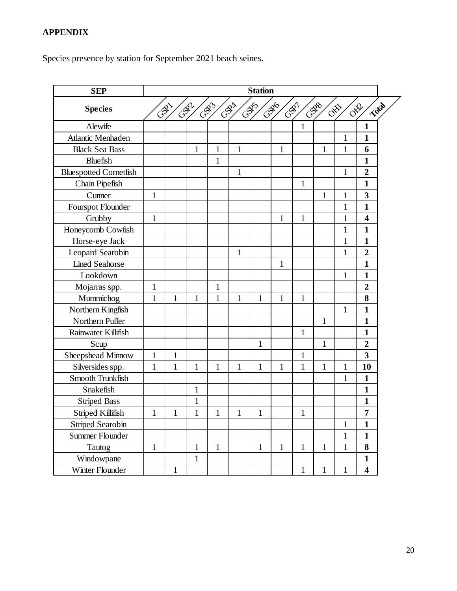Species presence by station for September 2021 beach seines.

| <b>SEP</b>                    |              |              |              |              |                | <b>Station</b> |              |              |                                 |              |                               |
|-------------------------------|--------------|--------------|--------------|--------------|----------------|----------------|--------------|--------------|---------------------------------|--------------|-------------------------------|
| <b>Species</b>                | GRI          |              | GSZ          | CSD3         | $\sqrt{S^{2}}$ | GSF5           | $-38^{6}$    | CSDT         | CSDB<br>$\delta^{\hat{\aleph}}$ |              | Total<br>$\sigma^{\text{sp}}$ |
| Alewife                       |              |              |              |              |                |                |              | $\mathbf{1}$ |                                 |              | $\mathbf{1}$                  |
| Atlantic Menhaden             |              |              |              |              |                |                |              |              |                                 | $\mathbf{1}$ | $\mathbf{1}$                  |
| <b>Black Sea Bass</b>         |              |              | 1            | $\mathbf{1}$ | 1              |                | $\mathbf{1}$ |              | $\mathbf{1}$                    | $\mathbf{1}$ | 6                             |
| <b>Bluefish</b>               |              |              |              | $\mathbf{1}$ |                |                |              |              |                                 |              | $\mathbf{1}$                  |
| <b>Bluespotted Cornetfish</b> |              |              |              |              | 1              |                |              |              |                                 | $\mathbf{1}$ | $\boldsymbol{2}$              |
| Chain Pipefish                |              |              |              |              |                |                |              | $\mathbf{1}$ |                                 |              | $\mathbf{1}$                  |
| Cunner                        | $\mathbf{1}$ |              |              |              |                |                |              |              | $\mathbf{1}$                    | $\mathbf{1}$ | $\overline{\mathbf{3}}$       |
| Fourspot Flounder             |              |              |              |              |                |                |              |              |                                 | $\mathbf{1}$ | $\mathbf{1}$                  |
| Grubby                        | $\mathbf{1}$ |              |              |              |                |                | $\mathbf{1}$ | $\mathbf{1}$ |                                 | $\mathbf{1}$ | $\overline{\mathbf{4}}$       |
| Honeycomb Cowfish             |              |              |              |              |                |                |              |              |                                 | $\mathbf{1}$ | $\mathbf{1}$                  |
| Horse-eye Jack                |              |              |              |              |                |                |              |              |                                 | $\mathbf{1}$ | $\mathbf{1}$                  |
| Leopard Searobin              |              |              |              |              | 1              |                |              |              |                                 | $\mathbf{1}$ | $\overline{2}$                |
| <b>Lined Seahorse</b>         |              |              |              |              |                |                | $\mathbf{1}$ |              |                                 |              | $\mathbf{1}$                  |
| Lookdown                      |              |              |              |              |                |                |              |              |                                 | $\mathbf{1}$ | $\mathbf{1}$                  |
| Mojarras spp.                 | $\mathbf{1}$ |              |              | 1            |                |                |              |              |                                 |              | $\overline{2}$                |
| Mummichog                     | $\mathbf{1}$ | $\mathbf{1}$ | 1            | 1            | 1              | $\mathbf{1}$   | 1            | $\mathbf{1}$ |                                 |              | 8                             |
| Northern Kingfish             |              |              |              |              |                |                |              |              |                                 | $\mathbf{1}$ | $\mathbf{1}$                  |
| Northern Puffer               |              |              |              |              |                |                |              |              | 1                               |              | $\mathbf{1}$                  |
| Rainwater Killifish           |              |              |              |              |                |                |              | $\mathbf{1}$ |                                 |              | $\mathbf{1}$                  |
| Scup                          |              |              |              |              |                | $\mathbf{1}$   |              |              | $\mathbf{1}$                    |              | $\boldsymbol{2}$              |
| Sheepshead Minnow             | $\mathbf{1}$ | $\mathbf{1}$ |              |              |                |                |              | $\mathbf{1}$ |                                 |              | $\overline{\mathbf{3}}$       |
| Silversides spp.              | $\mathbf{1}$ | $\mathbf{1}$ | 1            | 1            | 1              | $\mathbf{1}$   | $\mathbf{1}$ | $\mathbf{1}$ | 1                               | $\mathbf{1}$ | 10                            |
| Smooth Trunkfish              |              |              |              |              |                |                |              |              |                                 | $\mathbf{1}$ | $\mathbf{1}$                  |
| Snakefish                     |              |              | 1            |              |                |                |              |              |                                 |              | $\mathbf{1}$                  |
| <b>Striped Bass</b>           |              |              | 1            |              |                |                |              |              |                                 |              | $\mathbf{1}$                  |
| Striped Killifish             |              | 1            | 1            | 1            | 1              | 1              |              | 1            |                                 |              | 7                             |
| <b>Striped Searobin</b>       |              |              |              |              |                |                |              |              |                                 | $\mathbf{1}$ | $\mathbf{1}$                  |
| <b>Summer Flounder</b>        |              |              |              |              |                |                |              |              |                                 | $\mathbf{1}$ | $\mathbf{1}$                  |
| Tautog                        | $\mathbf{1}$ |              | $\mathbf{1}$ | $\mathbf{1}$ |                | $\mathbf{1}$   | $\mathbf{1}$ | $\mathbf{1}$ | $\mathbf{1}$                    | $\mathbf{1}$ | 8                             |
| Windowpane                    |              |              | $\mathbf{1}$ |              |                |                |              |              |                                 |              | $\mathbf{1}$                  |
| Winter Flounder               |              | $\mathbf{1}$ |              |              |                |                |              | $\mathbf{1}$ | $\mathbf{1}$                    | $\mathbf{1}$ | $\overline{\mathbf{4}}$       |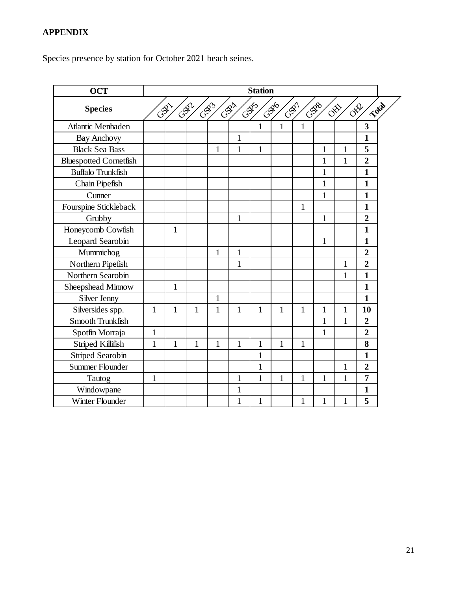Species presence by station for October 2021 beach seines.

| <b>OCT</b>                    | <b>Station</b> |              |      |              |              |              |                |              |                   |              |                               |  |
|-------------------------------|----------------|--------------|------|--------------|--------------|--------------|----------------|--------------|-------------------|--------------|-------------------------------|--|
| <b>Species</b>                |                | CAL          | CSR1 | $-253$       | $C^{S^k}$    | CSB5         | C.SO<br>$-28/$ |              | <b>CSD</b><br>081 |              | Total<br>$\sigma^{\text{sp}}$ |  |
| Atlantic Menhaden             |                |              |      |              |              | $\mathbf{1}$ | 1              | $\mathbf{1}$ |                   |              | 3                             |  |
| <b>Bay Anchovy</b>            |                |              |      |              | $\mathbf{1}$ |              |                |              |                   |              | $\mathbf{1}$                  |  |
| <b>Black Sea Bass</b>         |                |              |      | 1            | 1            | $\mathbf{1}$ |                |              | 1                 | 1            | 5                             |  |
| <b>Bluespotted Cornetfish</b> |                |              |      |              |              |              |                |              | $\mathbf 1$       | $\mathbf{1}$ | $\overline{2}$                |  |
| <b>Buffalo Trunkfish</b>      |                |              |      |              |              |              |                |              | $\mathbf{1}$      |              | 1                             |  |
| Chain Pipefish                |                |              |      |              |              |              |                |              | 1                 |              | $\mathbf{1}$                  |  |
| Cunner                        |                |              |      |              |              |              |                |              | $\mathbf{1}$      |              | $\mathbf{1}$                  |  |
| Fourspine Stickleback         |                |              |      |              |              |              |                | $\mathbf{1}$ |                   |              | $\mathbf{1}$                  |  |
| Grubby                        |                |              |      |              | $\mathbf{1}$ |              |                |              | $\mathbf{1}$      |              | $\overline{2}$                |  |
| Honeycomb Cowfish             |                | $\mathbf{1}$ |      |              |              |              |                |              |                   |              | $\mathbf{1}$                  |  |
| Leopard Searobin              |                |              |      |              |              |              |                |              | $\mathbf{1}$      |              | 1                             |  |
| Mummichog                     |                |              |      | $\mathbf{1}$ | 1            |              |                |              |                   |              | $\overline{2}$                |  |
| Northern Pipefish             |                |              |      |              | $\mathbf{1}$ |              |                |              |                   | $\mathbf{1}$ | $\overline{2}$                |  |
| Northern Searobin             |                |              |      |              |              |              |                |              |                   | 1            | $\mathbf{1}$                  |  |
| Sheepshead Minnow             |                | $\mathbf{1}$ |      |              |              |              |                |              |                   |              | 1                             |  |
| Silver Jenny                  |                |              |      | $\mathbf{1}$ |              |              |                |              |                   |              | 1                             |  |
| Silversides spp.              | $\mathbf{1}$   | $\mathbf{1}$ | 1    | $\mathbf{1}$ | $\mathbf{1}$ | $\mathbf{1}$ | 1              | $\mathbf{1}$ | 1                 | $\mathbf{1}$ | 10                            |  |
| Smooth Trunkfish              |                |              |      |              |              |              |                |              | $\mathbf 1$       | $\mathbf{1}$ | $\overline{2}$                |  |
| Spotfin Morraja               | $\mathbf{1}$   |              |      |              |              |              |                |              | $\mathbf{1}$      |              | $\overline{2}$                |  |
| Striped Killifish             | $\mathbf{1}$   | $\mathbf{1}$ | 1    | $\mathbf{1}$ | $\mathbf 1$  | $\mathbf{1}$ | 1              | $\mathbf{1}$ |                   |              | 8                             |  |
| <b>Striped Searobin</b>       |                |              |      |              |              | $\mathbf{1}$ |                |              |                   |              | $\mathbf{1}$                  |  |
| <b>Summer Flounder</b>        |                |              |      |              |              | $\mathbf{1}$ |                |              |                   | $\mathbf{1}$ | $\overline{2}$                |  |
| Tautog                        | $\mathbf{1}$   |              |      |              | 1            | $\mathbf{1}$ | 1              | $\mathbf{1}$ | $\mathbf{1}$      | $\mathbf{1}$ | 7                             |  |
| Windowpane                    |                |              |      |              | $\mathbf{1}$ |              |                |              |                   |              | 1                             |  |
| Winter Flounder               |                |              |      |              | 1            | $\mathbf{1}$ |                | $\mathbf{1}$ | $\mathbf 1$       | 1            | 5                             |  |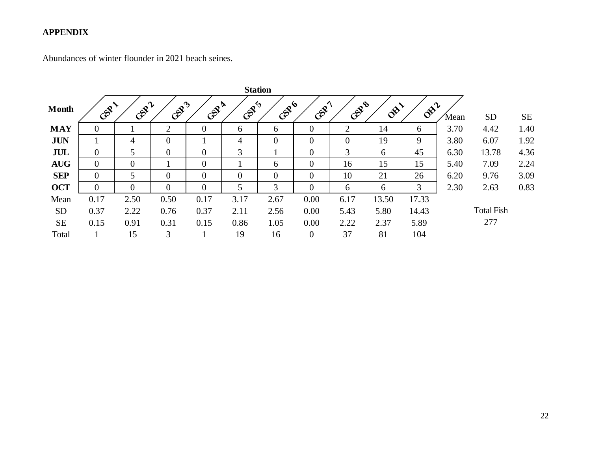Abundances of winter flounder in 2021 beach seines.

|              |          |                |                |                |          | <b>Station</b> |                  |                |                                     |                |      |                   |      |
|--------------|----------|----------------|----------------|----------------|----------|----------------|------------------|----------------|-------------------------------------|----------------|------|-------------------|------|
| <b>Month</b> | CERT     | GSR2           | GSP3           | GSPA           | GSP5     | Gene           | CAPIT            | GSPB           | $\delta^{\!\chi\!\chi\!\chi\!\chi}$ | $\delta^{x^2}$ | Mean | <b>SD</b>         | SE   |
| <b>MAY</b>   | $\Omega$ |                | $\overline{2}$ | $\overline{0}$ | 6        | 6              | $\overline{0}$   | $\overline{2}$ | 14                                  | 6              | 3.70 | 4.42              | 1.40 |
| <b>JUN</b>   |          | 4              | $\theta$       |                | 4        | $\overline{0}$ | $\overline{0}$   | $\overline{0}$ | 19                                  | 9              | 3.80 | 6.07              | 1.92 |
| <b>JUL</b>   | $\Omega$ | 5              | $\overline{0}$ | $\theta$       | 3        |                | $\overline{0}$   | 3              | 6                                   | 45             | 6.30 | 13.78             | 4.36 |
| <b>AUG</b>   | $\Omega$ | $\overline{0}$ |                | $\overline{0}$ |          | 6              | $\overline{0}$   | 16             | 15                                  | 15             | 5.40 | 7.09              | 2.24 |
| <b>SEP</b>   | $\Omega$ | 5              | $\theta$       | 0              | $\theta$ | $\theta$       | $\overline{0}$   | 10             | 21                                  | 26             | 6.20 | 9.76              | 3.09 |
| <b>OCT</b>   | $\Omega$ | $\theta$       | $\overline{0}$ | $\theta$       | 5        | 3              | $\overline{0}$   | 6              | 6                                   | 3              | 2.30 | 2.63              | 0.83 |
| Mean         | 0.17     | 2.50           | 0.50           | 0.17           | 3.17     | 2.67           | 0.00             | 6.17           | 13.50                               | 17.33          |      |                   |      |
| <b>SD</b>    | 0.37     | 2.22           | 0.76           | 0.37           | 2.11     | 2.56           | 0.00             | 5.43           | 5.80                                | 14.43          |      | <b>Total Fish</b> |      |
| <b>SE</b>    | 0.15     | 0.91           | 0.31           | 0.15           | 0.86     | 1.05           | 0.00             | 2.22           | 2.37                                | 5.89           |      | 277               |      |
| Total        |          | 15             | 3              |                | 19       | 16             | $\boldsymbol{0}$ | 37             | 81                                  | 104            |      |                   |      |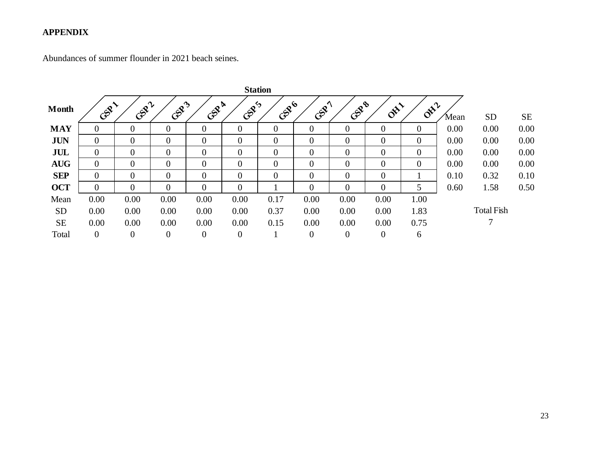Abundances of summer flounder in 2021 beach seines.

|              |                |                  |                  |                  |                | <b>Station</b> |                  |                  |                          |                                    |      |                   |      |
|--------------|----------------|------------------|------------------|------------------|----------------|----------------|------------------|------------------|--------------------------|------------------------------------|------|-------------------|------|
| <b>Month</b> | CERT           | GSRZ             | GSR3             | GOR &            | CEPS           | Gene           | CAPY             | Gene             | $\delta^{\!\mathcal{S}}$ | $\sigma^{\mathbf{x}^{\mathbf{y}}}$ | Mean | <b>SD</b>         | SE   |
| <b>MAY</b>   | 0              | $\theta$         | $\overline{0}$   | $\overline{0}$   | $\overline{0}$ | $\overline{0}$ | $\overline{0}$   | $\boldsymbol{0}$ | $\overline{0}$           | $\overline{0}$                     | 0.00 | 0.00              | 0.00 |
| <b>JUN</b>   | $\theta$       | $\theta$         | $\overline{0}$   | $\theta$         | $\overline{0}$ | $\overline{0}$ | $\boldsymbol{0}$ | $\overline{0}$   | $\overline{0}$           | $\overline{0}$                     | 0.00 | 0.00              | 0.00 |
| JUL          | $\overline{0}$ | $\mathbf{0}$     | $\boldsymbol{0}$ | $\overline{0}$   | $\overline{0}$ | $\overline{0}$ | $\overline{0}$   | $\overline{0}$   | $\overline{0}$           | $\overline{0}$                     | 0.00 | 0.00              | 0.00 |
| <b>AUG</b>   | $\Omega$       | $\theta$         | $\theta$         | $\theta$         | $\Omega$       | $\theta$       | $\overline{0}$   | $\overline{0}$   | $\overline{0}$           | $\theta$                           | 0.00 | 0.00              | 0.00 |
| <b>SEP</b>   | $\Omega$       | $\Omega$         | $\theta$         | $\theta$         | $\Omega$       | $\Omega$       | $\overline{0}$   | $\overline{0}$   | $\overline{0}$           |                                    | 0.10 | 0.32              | 0.10 |
| <b>OCT</b>   | $\theta$       | $\theta$         | $\overline{0}$   | $\theta$         | $\overline{0}$ |                | $\overline{0}$   | $\overline{0}$   | $\overline{0}$           | 5                                  | 0.60 | 1.58              | 0.50 |
| Mean         | 0.00           | 0.00             | 0.00             | 0.00             | 0.00           | 0.17           | 0.00             | 0.00             | 0.00                     | 1.00                               |      |                   |      |
| <b>SD</b>    | 0.00           | 0.00             | 0.00             | 0.00             | 0.00           | 0.37           | 0.00             | 0.00             | 0.00                     | 1.83                               |      | <b>Total Fish</b> |      |
| <b>SE</b>    | 0.00           | 0.00             | 0.00             | 0.00             | 0.00           | 0.15           | 0.00             | 0.00             | 0.00                     | 0.75                               |      | ⇁                 |      |
| Total        | $\overline{0}$ | $\boldsymbol{0}$ | $\boldsymbol{0}$ | $\boldsymbol{0}$ | $\overline{0}$ |                | $\boldsymbol{0}$ | $\overline{0}$   | $\boldsymbol{0}$         | 6                                  |      |                   |      |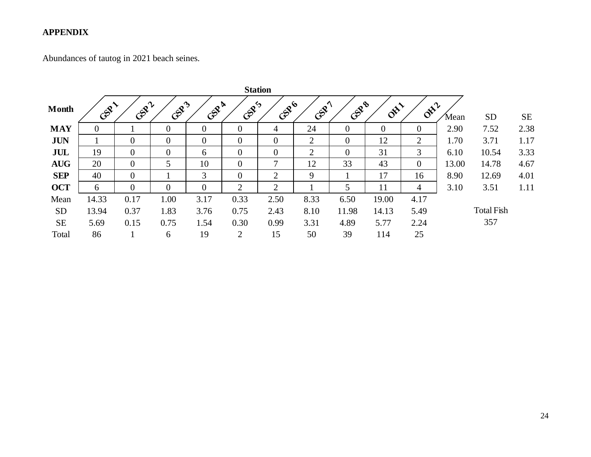Abundances of tautog in 2021 beach seines.

|              | <b>Station</b> |                |                |                |                |                |                |                |                          |                |       |                   |           |
|--------------|----------------|----------------|----------------|----------------|----------------|----------------|----------------|----------------|--------------------------|----------------|-------|-------------------|-----------|
| <b>Month</b> | CER            | GSRZ           | GSR3           | GSPA           | GSPS           | GRB            | CAPT           | GSPB           | $\delta^{\!\mathcal{S}}$ | $\delta^{x^2}$ | 'Mean | <b>SD</b>         | <b>SE</b> |
| <b>MAY</b>   | $\Omega$       |                | $\theta$       | $\overline{0}$ | $\overline{0}$ | 4              | 24             | $\overline{0}$ | $\overline{0}$           | $\overline{0}$ | 2.90  | 7.52              | 2.38      |
| <b>JUN</b>   |                | $\overline{0}$ | $\overline{0}$ | $\overline{0}$ | $\overline{0}$ | $\theta$       | $\overline{2}$ | $\overline{0}$ | 12                       | $\overline{2}$ | 1.70  | 3.71              | 1.17      |
| JUL          | 19             | $\overline{0}$ | $\mathbf{0}$   | 6              | $\overline{0}$ | $\overline{0}$ | $\overline{2}$ | $\overline{0}$ | 31                       | 3              | 6.10  | 10.54             | 3.33      |
| <b>AUG</b>   | 20             | $\Omega$       | 5              | 10             | $\theta$       | $\mathcal{L}$  | 12             | 33             | 43                       | $\theta$       | 13.00 | 14.78             | 4.67      |
| <b>SEP</b>   | 40             | $\theta$       |                | 3              | $\theta$       | $\overline{2}$ | 9              |                | 17                       | 16             | 8.90  | 12.69             | 4.01      |
| <b>OCT</b>   | 6              | $\theta$       | $\overline{0}$ | $\overline{0}$ | $\overline{2}$ | $\overline{2}$ |                | 5              | 11                       | 4              | 3.10  | 3.51              | 1.11      |
| Mean         | 14.33          | 0.17           | 1.00           | 3.17           | 0.33           | 2.50           | 8.33           | 6.50           | 19.00                    | 4.17           |       |                   |           |
| <b>SD</b>    | 13.94          | 0.37           | 1.83           | 3.76           | 0.75           | 2.43           | 8.10           | 11.98          | 14.13                    | 5.49           |       | <b>Total Fish</b> |           |
| <b>SE</b>    | 5.69           | 0.15           | 0.75           | 1.54           | 0.30           | 0.99           | 3.31           | 4.89           | 5.77                     | 2.24           |       | 357               |           |
| Total        | 86             |                | 6              | 19             | $\overline{2}$ | 15             | 50             | 39             | 114                      | 25             |       |                   |           |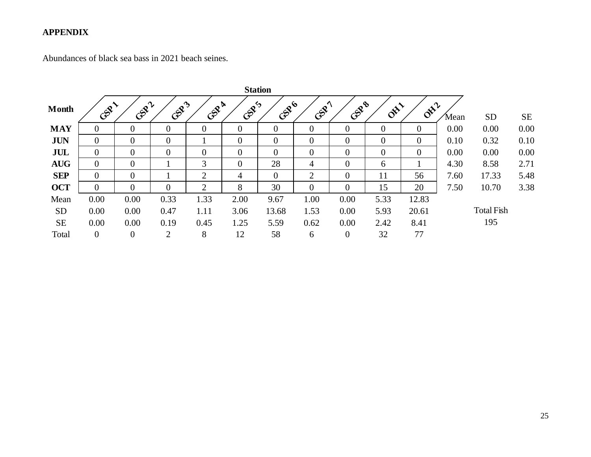Abundances of black sea bass in 2021 beach seines.

| <b>Station</b> |                |                |                |                |                |                |                |                |                     |                                    |       |                   |      |
|----------------|----------------|----------------|----------------|----------------|----------------|----------------|----------------|----------------|---------------------|------------------------------------|-------|-------------------|------|
| <b>Month</b>   | Contract       | GURA           | GSR3           | GSP&           | CEPS           | Gene           | CAPIT          | GERB           | $\delta^{\!\chi\!}$ | $\sigma_{\mathbf{k}}^{\mathbf{k}}$ | 'Mean | <b>SD</b>         | SE   |
| <b>MAY</b>     | $\Omega$       | $\overline{0}$ | $\overline{0}$ | $\overline{0}$ | $\overline{0}$ | $\overline{0}$ | $\overline{0}$ | $\mathbf{0}$   | $\overline{0}$      | $\overline{0}$                     | 0.00  | 0.00              | 0.00 |
| <b>JUN</b>     | $\overline{0}$ | $\overline{0}$ | $\overline{0}$ |                | $\overline{0}$ | $\overline{0}$ | $\overline{0}$ | $\overline{0}$ | $\overline{0}$      | $\overline{0}$                     | 0.10  | 0.32              | 0.10 |
| JUL            | $\theta$       | $\overline{0}$ | $\overline{0}$ | $\overline{0}$ | $\overline{0}$ | $\theta$       | $\overline{0}$ | $\overline{0}$ | $\overline{0}$      | $\overline{0}$                     | 0.00  | 0.00              | 0.00 |
| <b>AUG</b>     | $\theta$       | $\overline{0}$ |                | 3              | $\overline{0}$ | 28             | 4              | $\overline{0}$ | 6                   |                                    | 4.30  | 8.58              | 2.71 |
| <b>SEP</b>     | $\theta$       | $\theta$       |                | $\overline{2}$ | $\overline{4}$ | $\theta$       | $\overline{2}$ | $\theta$       | 11                  | 56                                 | 7.60  | 17.33             | 5.48 |
| <b>OCT</b>     | $\theta$       | $\theta$       | $\overline{0}$ | 2              | 8              | 30             | $\overline{0}$ | $\theta$       | 15                  | 20                                 | 7.50  | 10.70             | 3.38 |
| Mean           | 0.00           | 0.00           | 0.33           | 1.33           | 2.00           | 9.67           | 1.00           | 0.00           | 5.33                | 12.83                              |       |                   |      |
| <b>SD</b>      | 0.00           | 0.00           | 0.47           | 1.11           | 3.06           | 13.68          | 1.53           | 0.00           | 5.93                | 20.61                              |       | <b>Total Fish</b> |      |
| <b>SE</b>      | 0.00           | 0.00           | 0.19           | 0.45           | 1.25           | 5.59           | 0.62           | 0.00           | 2.42                | 8.41                               |       | 195               |      |
| Total          | $\overline{0}$ | $\overline{0}$ | $\overline{2}$ | 8              | 12             | 58             | 6              | $\overline{0}$ | 32                  | 77                                 |       |                   |      |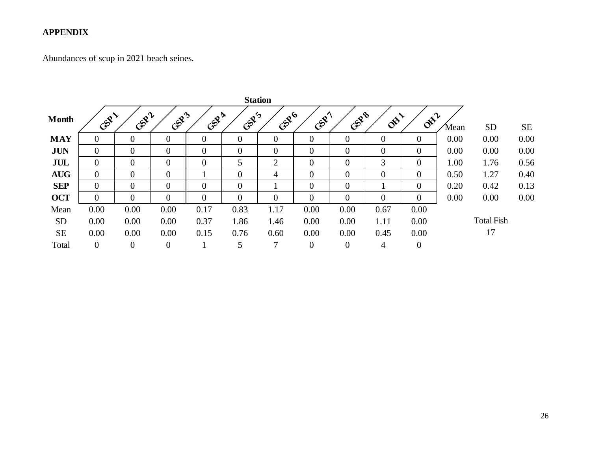Abundances of scup in 2021 beach seines.

|              | <b>Station</b> |                |                |                |                |                |                  |                |                     |                |       |                   |           |
|--------------|----------------|----------------|----------------|----------------|----------------|----------------|------------------|----------------|---------------------|----------------|-------|-------------------|-----------|
| <b>Month</b> | GRI            | GURA           | GSR3           | GSR &          | GSP5           | GRB            | CSPY             | Gene           | $\delta^{\!\chi\!}$ | $\delta^{x^2}$ | 'Mean | <b>SD</b>         | <b>SE</b> |
| <b>MAY</b>   | $\theta$       | $\theta$       | $\overline{0}$ | $\theta$       | $\overline{0}$ | $\theta$       | $\overline{0}$   | $\overline{0}$ | $\overline{0}$      | $\theta$       | 0.00  | 0.00              | 0.00      |
| <b>JUN</b>   | $\overline{0}$ | $\overline{0}$ | $\overline{0}$ | $\theta$       | $\theta$       | $\overline{0}$ | $\boldsymbol{0}$ | $\theta$       | $\theta$            | $\theta$       | 0.00  | 0.00              | 0.00      |
| JUL          | $\Omega$       | $\Omega$       | $\overline{0}$ | $\overline{0}$ | 5              | 2              | $\overline{0}$   | $\overline{0}$ | 3                   | $\theta$       | 1.00  | 1.76              | 0.56      |
| <b>AUG</b>   | $\Omega$       | $\Omega$       | $\theta$       |                | $\theta$       | 4              | $\theta$         | $\theta$       | $\theta$            | $\Omega$       | 0.50  | 1.27              | 0.40      |
| <b>SEP</b>   | $\Omega$       | $\Omega$       | $\Omega$       | $\Omega$       | $\Omega$       |                | $\theta$         | $\overline{0}$ |                     | $\theta$       | 0.20  | 0.42              | 0.13      |
| <b>OCT</b>   | $\Omega$       | $\Omega$       | $\overline{0}$ | $\Omega$       | $\Omega$       | $\theta$       | $\overline{0}$   | $\theta$       | $\overline{0}$      | $\theta$       | 0.00  | 0.00              | 0.00      |
| Mean         | 0.00           | 0.00           | 0.00           | 0.17           | 0.83           | 1.17           | 0.00             | 0.00           | 0.67                | 0.00           |       |                   |           |
| <b>SD</b>    | 0.00           | 0.00           | 0.00           | 0.37           | 1.86           | 1.46           | 0.00             | 0.00           | 1.11                | 0.00           |       | <b>Total Fish</b> |           |
| <b>SE</b>    | 0.00           | 0.00           | 0.00           | 0.15           | 0.76           | 0.60           | 0.00             | 0.00           | 0.45                | 0.00           |       | 17                |           |
| Total        | $\mathbf{0}$   | $\mathbf{0}$   | $\overline{0}$ |                | 5              | 7              | $\boldsymbol{0}$ | $\overline{0}$ | 4                   | $\theta$       |       |                   |           |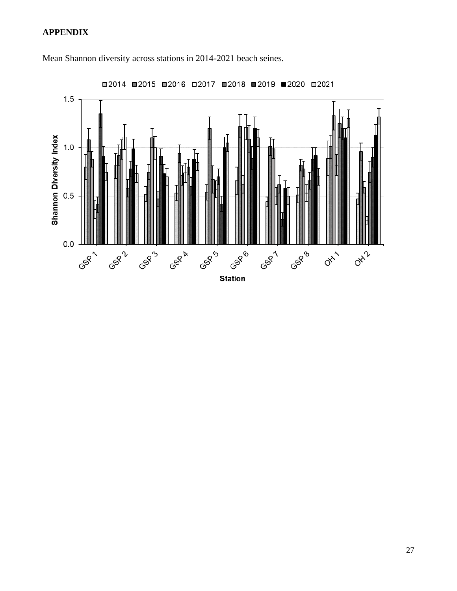![](_page_26_Figure_1.jpeg)

Mean Shannon diversity across stations in 2014-2021 beach seines.